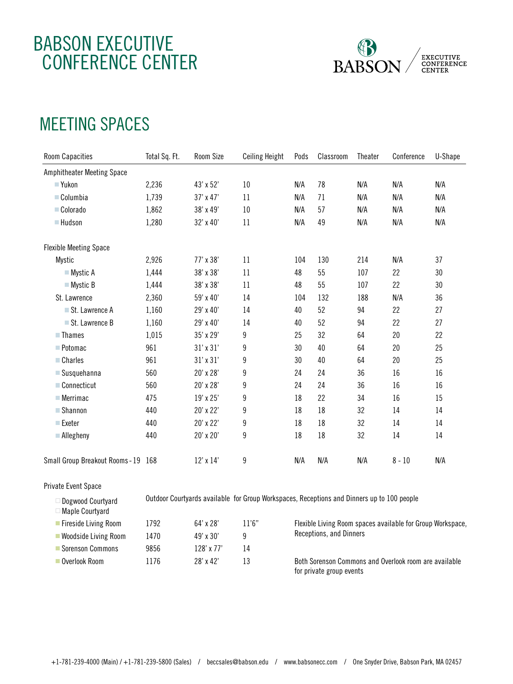## BABSON EXECUTIVE CONFERENCE CENTER



## MEETING SPACES

| <b>Room Capacities</b>                   | Total Sq. Ft.                                                                              | Room Size     | <b>Ceiling Height</b> | Pods                                                       | Classroom | Theater | Conference | U-Shape |
|------------------------------------------|--------------------------------------------------------------------------------------------|---------------|-----------------------|------------------------------------------------------------|-----------|---------|------------|---------|
| <b>Amphitheater Meeting Space</b>        |                                                                                            |               |                       |                                                            |           |         |            |         |
| Yukon                                    | 2,236                                                                                      | 43' x 52'     | 10                    | N/A                                                        | 78        | N/A     | N/A        | N/A     |
| Columbia                                 | 1,739                                                                                      | 37' x 47'     | 11                    | N/A                                                        | 71        | N/A     | N/A        | N/A     |
| Colorado                                 | 1,862                                                                                      | 38' x 49'     | 10                    | N/A                                                        | 57        | N/A     | N/A        | N/A     |
| <b>Hudson</b>                            | 1,280                                                                                      | 32' x 40'     | 11                    | N/A                                                        | 49        | N/A     | N/A        | N/A     |
| <b>Flexible Meeting Space</b>            |                                                                                            |               |                       |                                                            |           |         |            |         |
| <b>Mystic</b>                            | 2,926                                                                                      | 77' x 38'     | 11                    | 104                                                        | 130       | 214     | N/A        | 37      |
| ■ Mystic A                               | 1,444                                                                                      | 38' x 38'     | 11                    | 48                                                         | 55        | 107     | 22         | 30      |
| <b>Mystic B</b>                          | 1,444                                                                                      | 38' x 38'     | 11                    | 48                                                         | 55        | 107     | 22         | 30      |
| St. Lawrence                             | 2,360                                                                                      | 59' x 40'     | 14                    | 104                                                        | 132       | 188     | N/A        | 36      |
| St. Lawrence A                           | 1,160                                                                                      | 29' x 40'     | 14                    | 40                                                         | 52        | 94      | 22         | 27      |
| St. Lawrence B                           | 1,160                                                                                      | 29' x 40'     | 14                    | 40                                                         | 52        | 94      | 22         | 27      |
| $\blacksquare$ Thames                    | 1,015                                                                                      | 35' x 29'     | 9                     | 25                                                         | 32        | 64      | 20         | 22      |
| Potomac                                  | 961                                                                                        | $31'$ x $31'$ | 9                     | 30                                                         | 40        | 64      | 20         | 25      |
| Charles                                  | 961                                                                                        | $31'$ x $31'$ | 9                     | 30                                                         | 40        | 64      | 20         | 25      |
| Susquehanna                              | 560                                                                                        | 20' x 28'     | 9                     | 24                                                         | 24        | 36      | 16         | 16      |
| Connecticut                              | 560                                                                                        | 20' x 28'     | 9                     | 24                                                         | 24        | 36      | 16         | 16      |
| $\blacksquare$ Merrimac                  | 475                                                                                        | 19' x 25'     | 9                     | 18                                                         | 22        | 34      | 16         | 15      |
| Shannon                                  | 440                                                                                        | 20' x 22'     | 9                     | 18                                                         | 18        | 32      | 14         | 14      |
| Exeter                                   | 440                                                                                        | 20' x 22'     | 9                     | 18                                                         | 18        | 32      | 14         | 14      |
| Allegheny                                | 440                                                                                        | 20' x 20'     | 9                     | 18                                                         | 18        | 32      | 14         | 14      |
| Small Group Breakout Rooms - 19 168      |                                                                                            | 12' x 14'     | 9                     | N/A                                                        | N/A       | N/A     | $8 - 10$   | N/A     |
| Private Event Space                      |                                                                                            |               |                       |                                                            |           |         |            |         |
| □ Dogwood Courtyard<br>□ Maple Courtyard | Outdoor Courtyards available for Group Workspaces, Receptions and Dinners up to 100 people |               |                       |                                                            |           |         |            |         |
| Fireside Living Room                     | 1792                                                                                       | 64' x 28'     | 11'6''                | Flexible Living Room spaces available for Group Workspace, |           |         |            |         |
| ■ Woodside Living Room                   | 1470                                                                                       | 49' x 30'     | 9                     | Receptions, and Dinners                                    |           |         |            |         |
| Sorenson Commons                         | 9856                                                                                       | 128' x 77'    | 14                    |                                                            |           |         |            |         |
| Overlook Room                            | 1176                                                                                       | 28' x 42'     | 13                    | Both Sorenson Commons and Overlook room are available      |           |         |            |         |

for private group events